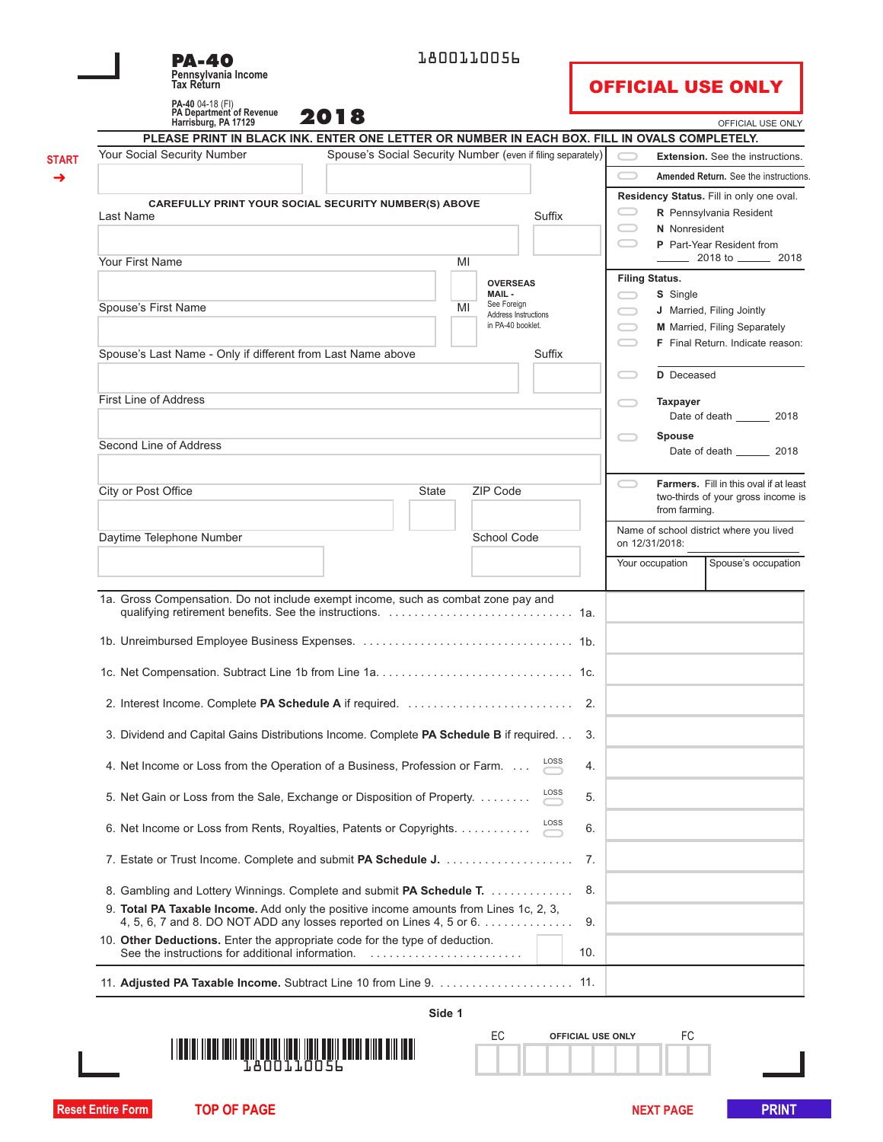| <b>PA-40</b><br>Pennsylvania Income<br><b>Tax Return</b>                                                                                                      |                                                             |        | 1800110056                                |            |   |                       | <b>OFFICIAL USE ONLY</b>                                            |  |
|---------------------------------------------------------------------------------------------------------------------------------------------------------------|-------------------------------------------------------------|--------|-------------------------------------------|------------|---|-----------------------|---------------------------------------------------------------------|--|
| PA-40 04-18 (FI)<br>PA Department of Revenue                                                                                                                  |                                                             |        |                                           |            |   |                       |                                                                     |  |
| 2018<br>Harrisburg, PA 17129                                                                                                                                  |                                                             |        |                                           |            |   |                       | OFFICIAL USE ONLY                                                   |  |
| PLEASE PRINT IN BLACK INK. ENTER ONE LETTER OR NUMBER IN EACH BOX. FILL IN OVALS COMPLETELY.<br>Your Social Security Number                                   | Spouse's Social Security Number (even if filing separately) |        |                                           |            |   |                       | <b>Extension.</b> See the instructions.                             |  |
|                                                                                                                                                               |                                                             |        |                                           |            |   |                       | Amended Return. See the instructions                                |  |
|                                                                                                                                                               |                                                             |        |                                           |            |   |                       |                                                                     |  |
| <b>CAREFULLY PRINT YOUR SOCIAL SECURITY NUMBER(S) ABOVE</b>                                                                                                   |                                                             |        |                                           |            |   |                       | Residency Status. Fill in only one oval.<br>R Pennsylvania Resident |  |
| Last Name                                                                                                                                                     |                                                             |        |                                           | Suffix     |   | N Nonresident         |                                                                     |  |
|                                                                                                                                                               |                                                             |        |                                           |            |   |                       | P Part-Year Resident from                                           |  |
| Your First Name                                                                                                                                               |                                                             | MI     |                                           |            |   |                       | $\frac{2018 \text{ to } 2018}{2018}$                                |  |
|                                                                                                                                                               |                                                             |        | <b>OVERSEAS</b>                           |            |   | <b>Filing Status.</b> |                                                                     |  |
| Spouse's First Name                                                                                                                                           |                                                             | MI     | MAIL-<br>See Foreign                      |            |   | S Single              |                                                                     |  |
|                                                                                                                                                               |                                                             |        | Address Instructions<br>in PA-40 booklet. |            | = |                       | J Married, Filing Jointly<br>M Married, Filing Separately           |  |
|                                                                                                                                                               |                                                             |        |                                           |            |   |                       | F Final Return. Indicate reason:                                    |  |
| Spouse's Last Name - Only if different from Last Name above                                                                                                   |                                                             |        |                                           | Suffix     |   |                       |                                                                     |  |
|                                                                                                                                                               |                                                             |        |                                           |            |   | D Deceased            |                                                                     |  |
| <b>First Line of Address</b>                                                                                                                                  |                                                             |        |                                           |            |   | <b>Taxpayer</b>       |                                                                     |  |
|                                                                                                                                                               |                                                             |        |                                           |            |   |                       | Date of death 2018                                                  |  |
|                                                                                                                                                               |                                                             |        |                                           |            |   | Spouse                |                                                                     |  |
| Second Line of Address                                                                                                                                        |                                                             |        |                                           |            |   |                       | Date of death _________ 2018                                        |  |
| City or Post Office                                                                                                                                           | State                                                       |        | <b>ZIP Code</b>                           |            |   |                       | Farmers. Fill in this oval if at least                              |  |
|                                                                                                                                                               |                                                             |        |                                           |            |   | from farming.         | two-thirds of your gross income is                                  |  |
| Daytime Telephone Number                                                                                                                                      |                                                             |        | School Code                               |            |   |                       | Name of school district where you lived                             |  |
|                                                                                                                                                               |                                                             |        |                                           |            |   | on 12/31/2018:        |                                                                     |  |
|                                                                                                                                                               |                                                             |        |                                           |            |   | Your occupation       | Spouse's occupation                                                 |  |
| 1a. Gross Compensation. Do not include exempt income, such as combat zone pay and                                                                             |                                                             |        |                                           |            |   |                       |                                                                     |  |
|                                                                                                                                                               |                                                             |        |                                           |            |   |                       |                                                                     |  |
|                                                                                                                                                               |                                                             |        |                                           |            |   |                       |                                                                     |  |
| 2. Interest Income. Complete PA Schedule A if required.                                                                                                       |                                                             |        |                                           | 2.         |   |                       |                                                                     |  |
| 3. Dividend and Capital Gains Distributions Income. Complete PA Schedule B if required.                                                                       |                                                             |        |                                           | 3.         |   |                       |                                                                     |  |
| 4. Net Income or Loss from the Operation of a Business, Profession or Farm.                                                                                   |                                                             |        |                                           | LOSS<br>4. |   |                       |                                                                     |  |
| 5. Net Gain or Loss from the Sale, Exchange or Disposition of Property.                                                                                       |                                                             |        |                                           | LOSS<br>5. |   |                       |                                                                     |  |
| 6. Net Income or Loss from Rents, Royalties, Patents or Copyrights.                                                                                           |                                                             |        |                                           | LOSS<br>6. |   |                       |                                                                     |  |
|                                                                                                                                                               |                                                             |        |                                           | 7.         |   |                       |                                                                     |  |
| 8. Gambling and Lottery Winnings. Complete and submit PA Schedule T.<br>9. Total PA Taxable Income. Add only the positive income amounts from Lines 1c, 2, 3, |                                                             |        |                                           | 8.         |   |                       |                                                                     |  |
| 4, 5, 6, 7 and 8. DO NOT ADD any losses reported on Lines 4, 5 or 6.                                                                                          |                                                             |        |                                           | 9.         |   |                       |                                                                     |  |
| 10. Other Deductions. Enter the appropriate code for the type of deduction.                                                                                   |                                                             |        |                                           | 10.        |   |                       |                                                                     |  |
|                                                                                                                                                               |                                                             |        |                                           |            |   |                       |                                                                     |  |
|                                                                                                                                                               |                                                             | Side 1 |                                           |            |   |                       |                                                                     |  |
|                                                                                                                                                               |                                                             |        |                                           |            |   |                       |                                                                     |  |



| <u> III Alian Ang Pa</u> |  |  |
|--------------------------|--|--|

EC **OFFICIAL USE ONLY** FC